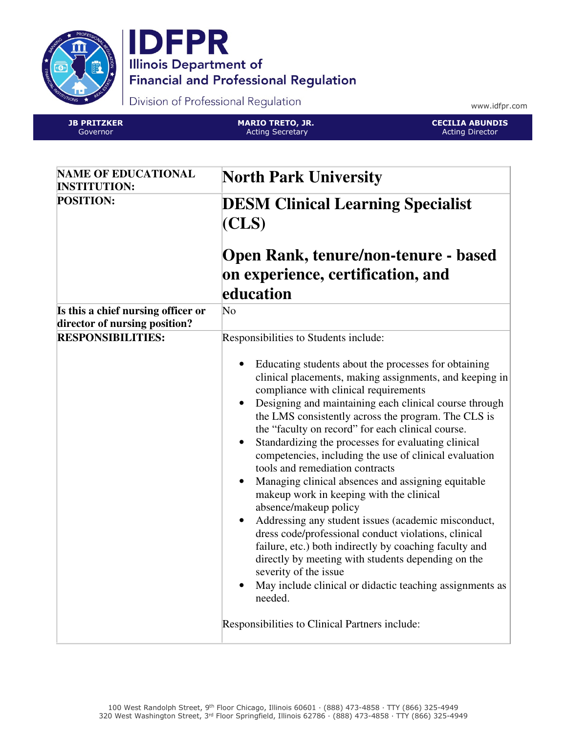



Division of Professional Regulation

www.idfpr.com

JB PRITZKER Governor

MARIO TRETO, JR. Acting Secretary



| <b>NAME OF EDUCATIONAL</b><br><b>INSTITUTION:</b>                   | <b>North Park University</b>                                                                                                                                                                                                                                                                                                                                                                                                                                                                                                                                                                                                                                                                                                                                                                                                                                                                                                                                                                                             |
|---------------------------------------------------------------------|--------------------------------------------------------------------------------------------------------------------------------------------------------------------------------------------------------------------------------------------------------------------------------------------------------------------------------------------------------------------------------------------------------------------------------------------------------------------------------------------------------------------------------------------------------------------------------------------------------------------------------------------------------------------------------------------------------------------------------------------------------------------------------------------------------------------------------------------------------------------------------------------------------------------------------------------------------------------------------------------------------------------------|
| <b>POSITION:</b>                                                    | <b>DESM Clinical Learning Specialist</b><br>(CLS)                                                                                                                                                                                                                                                                                                                                                                                                                                                                                                                                                                                                                                                                                                                                                                                                                                                                                                                                                                        |
|                                                                     | Open Rank, tenure/non-tenure - based<br>on experience, certification, and                                                                                                                                                                                                                                                                                                                                                                                                                                                                                                                                                                                                                                                                                                                                                                                                                                                                                                                                                |
|                                                                     | education                                                                                                                                                                                                                                                                                                                                                                                                                                                                                                                                                                                                                                                                                                                                                                                                                                                                                                                                                                                                                |
| Is this a chief nursing officer or<br>director of nursing position? | $\overline{\text{No}}$                                                                                                                                                                                                                                                                                                                                                                                                                                                                                                                                                                                                                                                                                                                                                                                                                                                                                                                                                                                                   |
| <b>RESPONSIBILITIES:</b>                                            | Responsibilities to Students include:                                                                                                                                                                                                                                                                                                                                                                                                                                                                                                                                                                                                                                                                                                                                                                                                                                                                                                                                                                                    |
|                                                                     | Educating students about the processes for obtaining<br>clinical placements, making assignments, and keeping in<br>compliance with clinical requirements<br>Designing and maintaining each clinical course through<br>$\bullet$<br>the LMS consistently across the program. The CLS is<br>the "faculty on record" for each clinical course.<br>Standardizing the processes for evaluating clinical<br>$\bullet$<br>competencies, including the use of clinical evaluation<br>tools and remediation contracts<br>Managing clinical absences and assigning equitable<br>makeup work in keeping with the clinical<br>absence/makeup policy<br>Addressing any student issues (academic misconduct,<br>dress code/professional conduct violations, clinical<br>failure, etc.) both indirectly by coaching faculty and<br>directly by meeting with students depending on the<br>severity of the issue<br>May include clinical or didactic teaching assignments as<br>needed.<br>Responsibilities to Clinical Partners include: |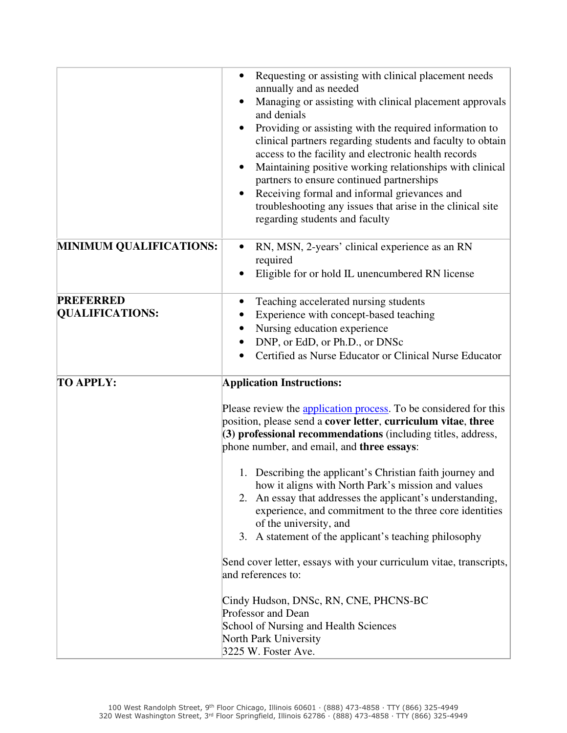|                                            | Requesting or assisting with clinical placement needs<br>$\bullet$<br>annually and as needed<br>Managing or assisting with clinical placement approvals<br>and denials<br>Providing or assisting with the required information to<br>clinical partners regarding students and faculty to obtain<br>access to the facility and electronic health records<br>Maintaining positive working relationships with clinical<br>٠<br>partners to ensure continued partnerships<br>Receiving formal and informal grievances and<br>$\bullet$<br>troubleshooting any issues that arise in the clinical site<br>regarding students and faculty                                                                                                                                                                                                             |
|--------------------------------------------|------------------------------------------------------------------------------------------------------------------------------------------------------------------------------------------------------------------------------------------------------------------------------------------------------------------------------------------------------------------------------------------------------------------------------------------------------------------------------------------------------------------------------------------------------------------------------------------------------------------------------------------------------------------------------------------------------------------------------------------------------------------------------------------------------------------------------------------------|
| <b>MINIMUM QUALIFICATIONS:</b>             | RN, MSN, 2-years' clinical experience as an RN<br>$\bullet$<br>required<br>Eligible for or hold IL unencumbered RN license                                                                                                                                                                                                                                                                                                                                                                                                                                                                                                                                                                                                                                                                                                                     |
| <b>PREFERRED</b><br><b>QUALIFICATIONS:</b> | Teaching accelerated nursing students<br>$\bullet$<br>Experience with concept-based teaching<br>Nursing education experience<br>DNP, or EdD, or Ph.D., or DNSc<br>Certified as Nurse Educator or Clinical Nurse Educator                                                                                                                                                                                                                                                                                                                                                                                                                                                                                                                                                                                                                       |
| <b>TO APPLY:</b>                           | <b>Application Instructions:</b><br>Please review the application process. To be considered for this<br>position, please send a cover letter, curriculum vitae, three<br>(3) professional recommendations (including titles, address,<br>phone number, and email, and three essays:<br>1. Describing the applicant's Christian faith journey and<br>how it aligns with North Park's mission and values<br>2. An essay that addresses the applicant's understanding,<br>experience, and commitment to the three core identities<br>of the university, and<br>3. A statement of the applicant's teaching philosophy<br>Send cover letter, essays with your curriculum vitae, transcripts,<br>and references to:<br>Cindy Hudson, DNSc, RN, CNE, PHCNS-BC<br>Professor and Dean<br>School of Nursing and Health Sciences<br>North Park University |